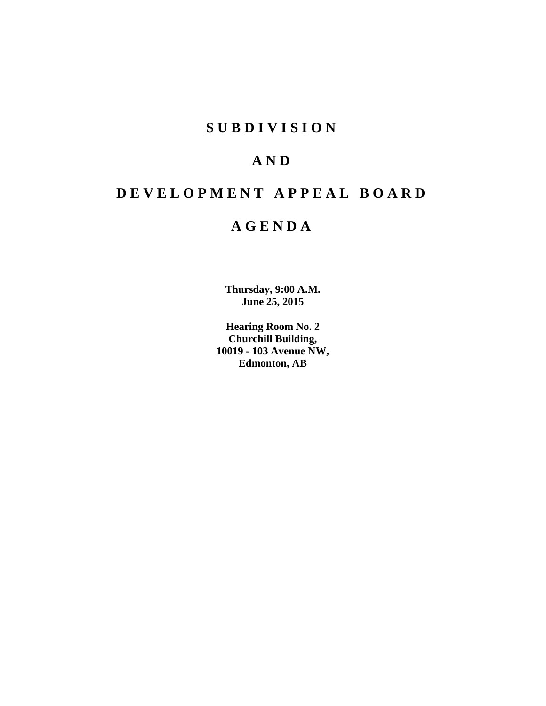## **S U B D I V I S I O N**

# **A N D**

# **D E V E L O P M E N T A P P E A L B O A R D**

## **A G E N D A**

**Thursday, 9:00 A.M. June 25, 2015**

**Hearing Room No. 2 Churchill Building, 10019 - 103 Avenue NW, Edmonton, AB**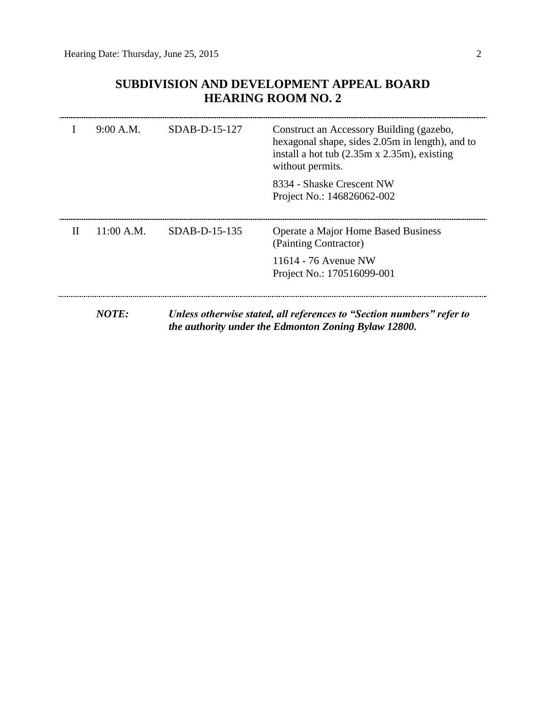## **SUBDIVISION AND DEVELOPMENT APPEAL BOARD HEARING ROOM NO. 2**

|   | 9:00 A.M.    | $SDAB-D-15-127$ | Construct an Accessory Building (gazebo,<br>hexagonal shape, sides 2.05m in length), and to<br>install a hot tub $(2.35m \times 2.35m)$ , existing<br>without permits. |
|---|--------------|-----------------|------------------------------------------------------------------------------------------------------------------------------------------------------------------------|
|   |              |                 | 8334 - Shaske Crescent NW<br>Project No.: 146826062-002                                                                                                                |
| H | $11:00$ A.M. | $SDAB-D-15-135$ | Operate a Major Home Based Business<br>(Painting Contractor)                                                                                                           |
|   |              |                 | 11614 - 76 Avenue NW<br>Project No.: 170516099-001                                                                                                                     |
|   | NOTE:        |                 | Unless otherwise stated, all references to "Section numbers" refer to<br>the authority under the Edmonton Zoning Bylaw 12800.                                          |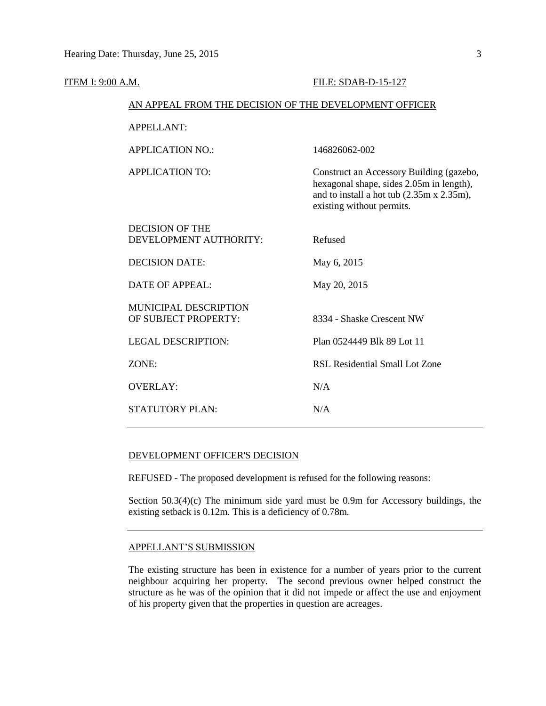| <b>ITEM I: 9:00 A.M.</b>                               | FILE: SDAB-D-15-127                                                                                                                                            |  |
|--------------------------------------------------------|----------------------------------------------------------------------------------------------------------------------------------------------------------------|--|
| AN APPEAL FROM THE DECISION OF THE DEVELOPMENT OFFICER |                                                                                                                                                                |  |
| <b>APPELLANT:</b>                                      |                                                                                                                                                                |  |
| <b>APPLICATION NO.:</b>                                | 146826062-002                                                                                                                                                  |  |
| <b>APPLICATION TO:</b>                                 | Construct an Accessory Building (gazebo,<br>hexagonal shape, sides 2.05m in length),<br>and to install a hot tub (2.35m x 2.35m),<br>existing without permits. |  |
| <b>DECISION OF THE</b><br>DEVELOPMENT AUTHORITY:       | Refused                                                                                                                                                        |  |
| <b>DECISION DATE:</b>                                  | May 6, 2015                                                                                                                                                    |  |
| <b>DATE OF APPEAL:</b>                                 | May 20, 2015                                                                                                                                                   |  |
| MUNICIPAL DESCRIPTION<br>OF SUBJECT PROPERTY:          | 8334 - Shaske Crescent NW                                                                                                                                      |  |
| <b>LEGAL DESCRIPTION:</b>                              | Plan 0524449 Blk 89 Lot 11                                                                                                                                     |  |
| ZONE:                                                  | <b>RSL Residential Small Lot Zone</b>                                                                                                                          |  |
| <b>OVERLAY:</b>                                        | N/A                                                                                                                                                            |  |
| <b>STATUTORY PLAN:</b>                                 | N/A                                                                                                                                                            |  |

### DEVELOPMENT OFFICER'S DECISION

REFUSED - The proposed development is refused for the following reasons:

Section 50.3(4)(c) The minimum side yard must be 0.9m for Accessory buildings, the existing setback is 0.12m. This is a deficiency of 0.78m.

#### APPELLANT'S SUBMISSION

The existing structure has been in existence for a number of years prior to the current neighbour acquiring her property. The second previous owner helped construct the structure as he was of the opinion that it did not impede or affect the use and enjoyment of his property given that the properties in question are acreages.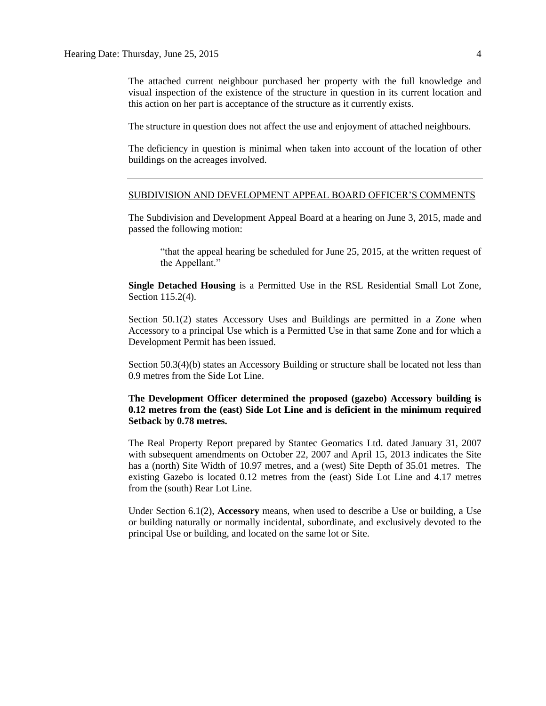The attached current neighbour purchased her property with the full knowledge and visual inspection of the existence of the structure in question in its current location and this action on her part is acceptance of the structure as it currently exists.

The structure in question does not affect the use and enjoyment of attached neighbours.

The deficiency in question is minimal when taken into account of the location of other buildings on the acreages involved.

#### SUBDIVISION AND DEVELOPMENT APPEAL BOARD OFFICER'S COMMENTS

The Subdivision and Development Appeal Board at a hearing on June 3, 2015, made and passed the following motion:

"that the appeal hearing be scheduled for June 25, 2015, at the written request of the Appellant."

**Single Detached Housing** is a Permitted Use in the RSL Residential Small Lot Zone, Section 115.2(4).

Section 50.1(2) states Accessory Uses and Buildings are permitted in a Zone when Accessory to a principal Use which is a Permitted Use in that same Zone and for which a Development Permit has been issued.

Section 50.3(4)(b) states an Accessory Building or structure shall be located not less than 0.9 metres from the Side Lot Line.

### **The Development Officer determined the proposed (gazebo) Accessory building is 0.12 metres from the (east) Side Lot Line and is deficient in the minimum required Setback by 0.78 metres.**

The Real Property Report prepared by Stantec Geomatics Ltd. dated January 31, 2007 with subsequent amendments on October 22, 2007 and April 15, 2013 indicates the Site has a (north) Site Width of 10.97 metres, and a (west) Site Depth of 35.01 metres. The existing Gazebo is located 0.12 metres from the (east) Side Lot Line and 4.17 metres from the (south) Rear Lot Line.

Under Section 6.1(2), **Accessory** means, when used to describe a Use or building, a Use or building naturally or normally incidental, subordinate, and exclusively devoted to the principal Use or building, and located on the same lot or Site.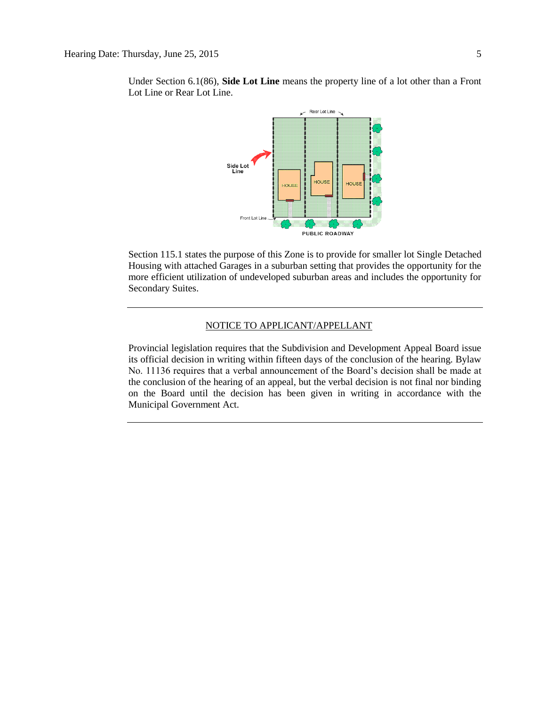

Under Section 6.1(86), **Side Lot Line** means the property line of a lot other than a Front Lot Line or Rear Lot Line.

Section 115.1 states the purpose of this Zone is to provide for smaller lot Single Detached Housing with attached Garages in a suburban setting that provides the opportunity for the more efficient utilization of undeveloped suburban areas and includes the opportunity for Secondary Suites.

### NOTICE TO APPLICANT/APPELLANT

Provincial legislation requires that the Subdivision and Development Appeal Board issue its official decision in writing within fifteen days of the conclusion of the hearing. Bylaw No. 11136 requires that a verbal announcement of the Board's decision shall be made at the conclusion of the hearing of an appeal, but the verbal decision is not final nor binding on the Board until the decision has been given in writing in accordance with the Municipal Government Act.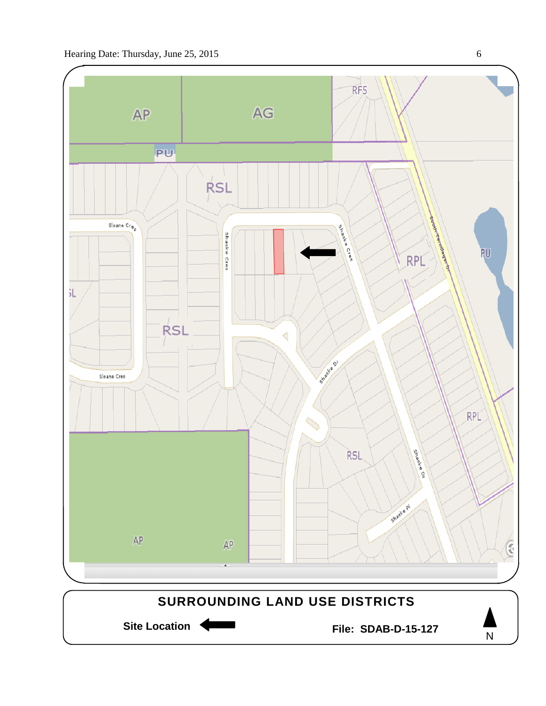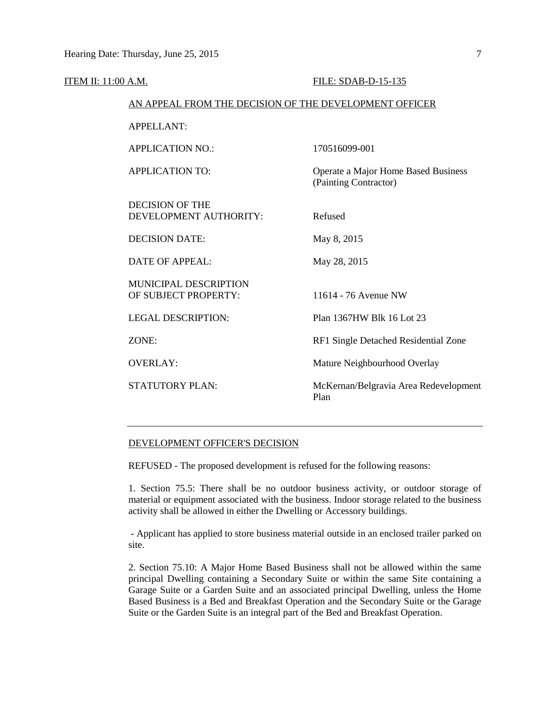| <b>ITEM II: 11:00 A.M.</b> |                                                        | FILE: SDAB-D-15-135                                          |  |
|----------------------------|--------------------------------------------------------|--------------------------------------------------------------|--|
|                            | AN APPEAL FROM THE DECISION OF THE DEVELOPMENT OFFICER |                                                              |  |
|                            | <b>APPELLANT:</b>                                      |                                                              |  |
|                            | <b>APPLICATION NO.:</b>                                | 170516099-001                                                |  |
|                            | <b>APPLICATION TO:</b>                                 | Operate a Major Home Based Business<br>(Painting Contractor) |  |
|                            | <b>DECISION OF THE</b><br>DEVELOPMENT AUTHORITY:       | Refused                                                      |  |
|                            | <b>DECISION DATE:</b>                                  | May 8, 2015                                                  |  |
|                            | <b>DATE OF APPEAL:</b>                                 | May 28, 2015                                                 |  |
|                            | <b>MUNICIPAL DESCRIPTION</b><br>OF SUBJECT PROPERTY:   | 11614 - 76 Avenue NW                                         |  |
|                            | <b>LEGAL DESCRIPTION:</b>                              | Plan 1367HW Blk 16 Lot 23                                    |  |
|                            | ZONE:                                                  | RF1 Single Detached Residential Zone                         |  |
|                            | <b>OVERLAY:</b>                                        | Mature Neighbourhood Overlay                                 |  |
|                            | <b>STATUTORY PLAN:</b>                                 | McKernan/Belgravia Area Redevelopment<br>Plan                |  |
|                            |                                                        |                                                              |  |

#### DEVELOPMENT OFFICER'S DECISION

REFUSED - The proposed development is refused for the following reasons:

1. Section 75.5: There shall be no outdoor business activity, or outdoor storage of material or equipment associated with the business. Indoor storage related to the business activity shall be allowed in either the Dwelling or Accessory buildings.

- Applicant has applied to store business material outside in an enclosed trailer parked on site.

2. Section 75.10: A Major Home Based Business shall not be allowed within the same principal Dwelling containing a Secondary Suite or within the same Site containing a Garage Suite or a Garden Suite and an associated principal Dwelling, unless the Home Based Business is a Bed and Breakfast Operation and the Secondary Suite or the Garage Suite or the Garden Suite is an integral part of the Bed and Breakfast Operation.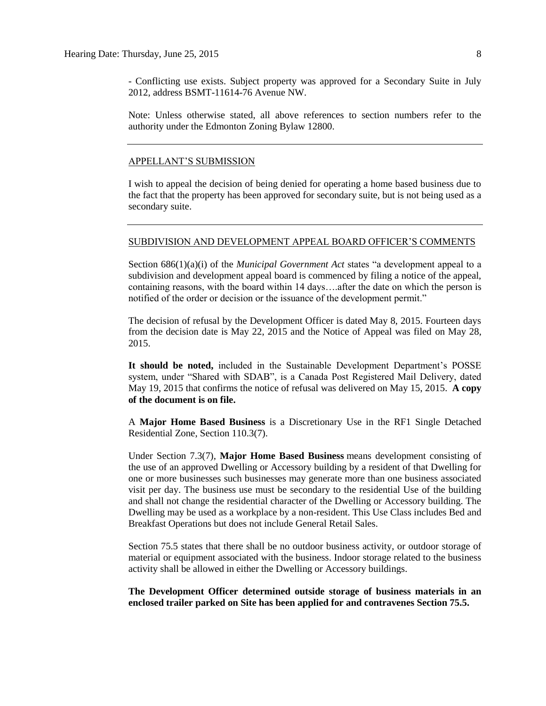- Conflicting use exists. Subject property was approved for a Secondary Suite in July 2012, address BSMT-11614-76 Avenue NW.

Note: Unless otherwise stated, all above references to section numbers refer to the authority under the Edmonton Zoning Bylaw 12800.

#### APPELLANT'S SUBMISSION

I wish to appeal the decision of being denied for operating a home based business due to the fact that the property has been approved for secondary suite, but is not being used as a secondary suite.

#### SUBDIVISION AND DEVELOPMENT APPEAL BOARD OFFICER'S COMMENTS

Section 686(1)(a)(i) of the *Municipal Government Act* states "a development appeal to a subdivision and development appeal board is commenced by filing a notice of the appeal, containing reasons, with the board within 14 days….after the date on which the person is notified of the order or decision or the issuance of the development permit."

The decision of refusal by the Development Officer is dated May 8, 2015. Fourteen days from the decision date is May 22, 2015 and the Notice of Appeal was filed on May 28, 2015.

**It should be noted,** included in the Sustainable Development Department's POSSE system, under "Shared with SDAB", is a Canada Post Registered Mail Delivery, dated May 19, 2015 that confirms the notice of refusal was delivered on May 15, 2015. **A copy of the document is on file.**

A **Major Home Based Business** is a Discretionary Use in the RF1 Single Detached Residential Zone, Section 110.3(7).

Under Section 7.3(7), **Major Home Based Business** means development consisting of the use of an approved Dwelling or Accessory building by a resident of that Dwelling for one or more businesses such businesses may generate more than one business associated visit per day. The business use must be secondary to the residential Use of the building and shall not change the residential character of the Dwelling or Accessory building. The Dwelling may be used as a workplace by a non-resident. This Use Class includes Bed and Breakfast Operations but does not include General Retail Sales.

Section 75.5 states that there shall be no outdoor business activity, or outdoor storage of material or equipment associated with the business. Indoor storage related to the business activity shall be allowed in either the Dwelling or Accessory buildings.

**The Development Officer determined outside storage of business materials in an enclosed trailer parked on Site has been applied for and contravenes Section 75.5.**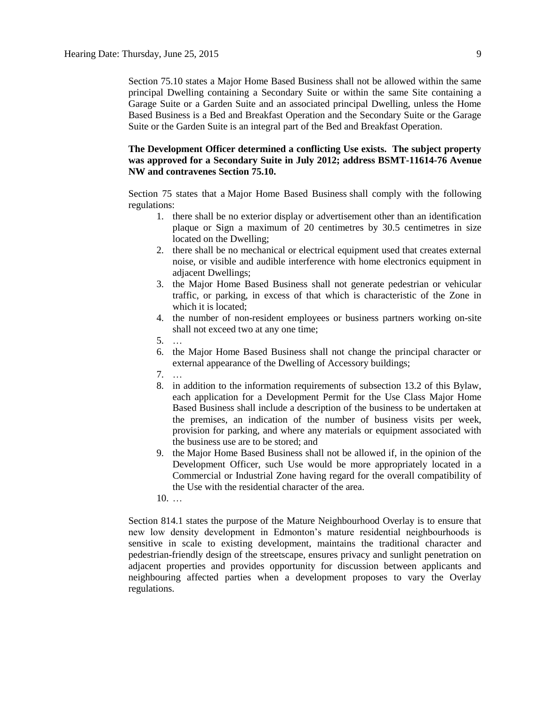Section 75.10 states a Major Home Based Business shall not be allowed within the same principal Dwelling containing a Secondary Suite or within the same Site containing a Garage Suite or a Garden Suite and an associated principal Dwelling, unless the Home Based Business is a Bed and Breakfast Operation and the Secondary Suite or the Garage Suite or the Garden Suite is an integral part of the Bed and Breakfast Operation.

### **The Development Officer determined a conflicting Use exists. The subject property was approved for a Secondary Suite in July 2012; address BSMT-11614-76 Avenue NW and contravenes Section 75.10.**

Section 75 states that a [Major Home Based Business](javascript:void(0);) shall comply with the following regulations:

- 1. there shall be no exterior display or advertisement other than an identification plaque or Sign a maximum of 20 centimetres by 30.5 centimetres in size located on the Dwelling;
- 2. there shall be no mechanical or electrical equipment used that creates external noise, or visible and audible interference with home electronics equipment in adjacent Dwellings;
- 3. the Major Home Based Business shall not generate pedestrian or vehicular traffic, or parking, in excess of that which is characteristic of the Zone in which it is located;
- 4. the number of non-resident employees or business partners working on-site shall not exceed two at any one time;
- 5. …
- 6. the Major Home Based Business shall not change the principal character or external appearance of the Dwelling of Accessory buildings;
- 7. …
- 8. in addition to the information requirements of subsection 13.2 of this Bylaw, each application for a Development Permit for the Use Class Major Home Based Business shall include a description of the business to be undertaken at the premises, an indication of the number of business visits per week, provision for parking, and where any materials or equipment associated with the business use are to be stored; and
- 9. the Major Home Based Business shall not be allowed if, in the opinion of the Development Officer, such Use would be more appropriately located in a Commercial or Industrial Zone having regard for the overall compatibility of the Use with the residential character of the area.
- 10. …

Section 814.1 states the purpose of the Mature Neighbourhood Overlay is to ensure that new low density development in Edmonton's mature residential neighbourhoods is sensitive in scale to existing development, maintains the traditional character and pedestrian-friendly design of the streetscape, ensures privacy and sunlight penetration on adjacent properties and provides opportunity for discussion between applicants and neighbouring affected parties when a development proposes to vary the Overlay regulations.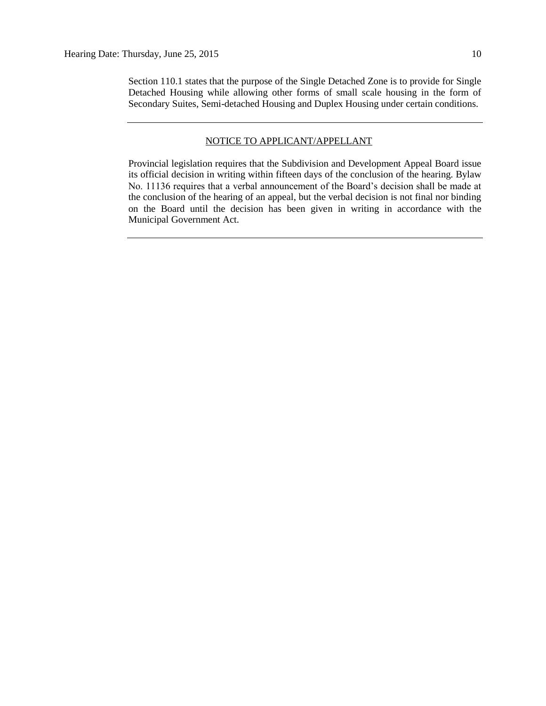Section 110.1 states that the purpose of the Single Detached Zone is to provide for Single Detached Housing while allowing other forms of small scale housing in the form of Secondary Suites, Semi-detached Housing and Duplex Housing under certain conditions.

#### NOTICE TO APPLICANT/APPELLANT

Provincial legislation requires that the Subdivision and Development Appeal Board issue its official decision in writing within fifteen days of the conclusion of the hearing. Bylaw No. 11136 requires that a verbal announcement of the Board's decision shall be made at the conclusion of the hearing of an appeal, but the verbal decision is not final nor binding on the Board until the decision has been given in writing in accordance with the Municipal Government Act.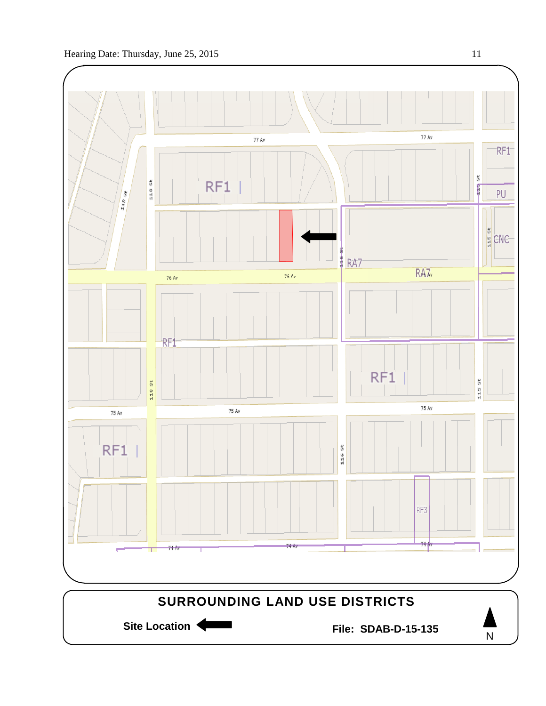